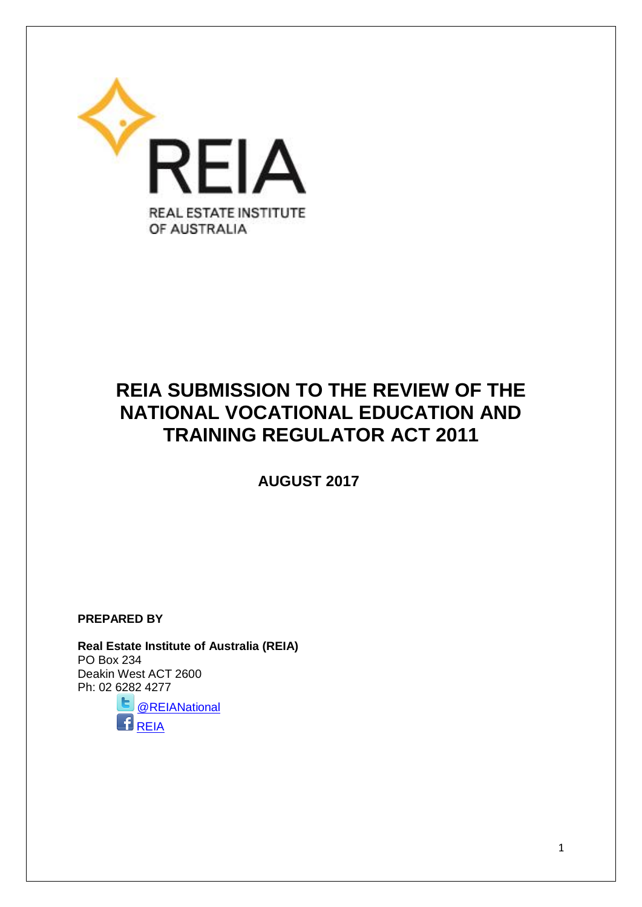

# **REIA SUBMISSION TO THE REVIEW OF THE NATIONAL VOCATIONAL EDUCATION AND TRAINING REGULATOR ACT 2011**

 **AUGUST 2017**

**PREPARED BY**

**Real Estate Institute of Australia (REIA)**  PO Box 234 Deakin West ACT 2600 Ph: 02 [6282](https://twitter.com/REIANational) 4277

Е. [@REIANational](https://twitter.com/REIANational)  $\overline{\mathbf{B}}_{\overline{\text{REIA}}}^ \overline{\mathbf{B}}_{\overline{\text{REIA}}}^ \overline{\mathbf{B}}_{\overline{\text{REIA}}}^-$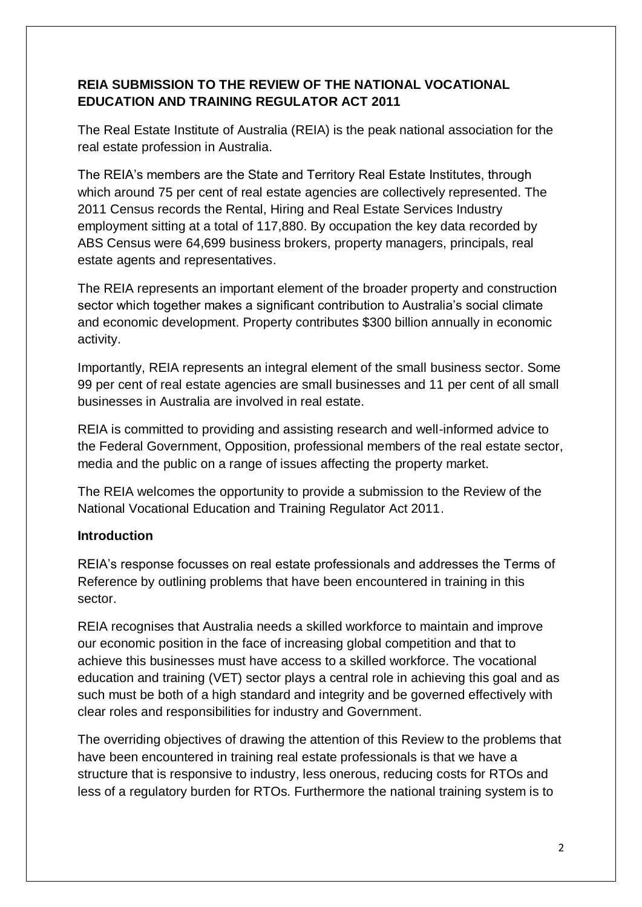## **REIA SUBMISSION TO THE REVIEW OF THE NATIONAL VOCATIONAL EDUCATION AND TRAINING REGULATOR ACT 2011**

The Real Estate Institute of Australia (REIA) is the peak national association for the real estate profession in Australia.

The REIA's members are the State and Territory Real Estate Institutes, through which around 75 per cent of real estate agencies are collectively represented. The 2011 Census records the Rental, Hiring and Real Estate Services Industry employment sitting at a total of 117,880. By occupation the key data recorded by ABS Census were 64,699 business brokers, property managers, principals, real estate agents and representatives.

The REIA represents an important element of the broader property and construction sector which together makes a significant contribution to Australia's social climate and economic development. Property contributes \$300 billion annually in economic activity.

Importantly, REIA represents an integral element of the small business sector. Some 99 per cent of real estate agencies are small businesses and 11 per cent of all small businesses in Australia are involved in real estate.

REIA is committed to providing and assisting research and well-informed advice to the Federal Government, Opposition, professional members of the real estate sector, media and the public on a range of issues affecting the property market.

The REIA welcomes the opportunity to provide a submission to the Review of the National Vocational Education and Training Regulator Act 2011.

### **Introduction**

REIA's response focusses on real estate professionals and addresses the Terms of Reference by outlining problems that have been encountered in training in this sector.

REIA recognises that Australia needs a skilled workforce to maintain and improve our economic position in the face of increasing global competition and that to achieve this businesses must have access to a skilled workforce. The vocational education and training (VET) sector plays a central role in achieving this goal and as such must be both of a high standard and integrity and be governed effectively with clear roles and responsibilities for industry and Government.

The overriding objectives of drawing the attention of this Review to the problems that have been encountered in training real estate professionals is that we have a structure that is responsive to industry, less onerous, reducing costs for RTOs and less of a regulatory burden for RTOs. Furthermore the national training system is to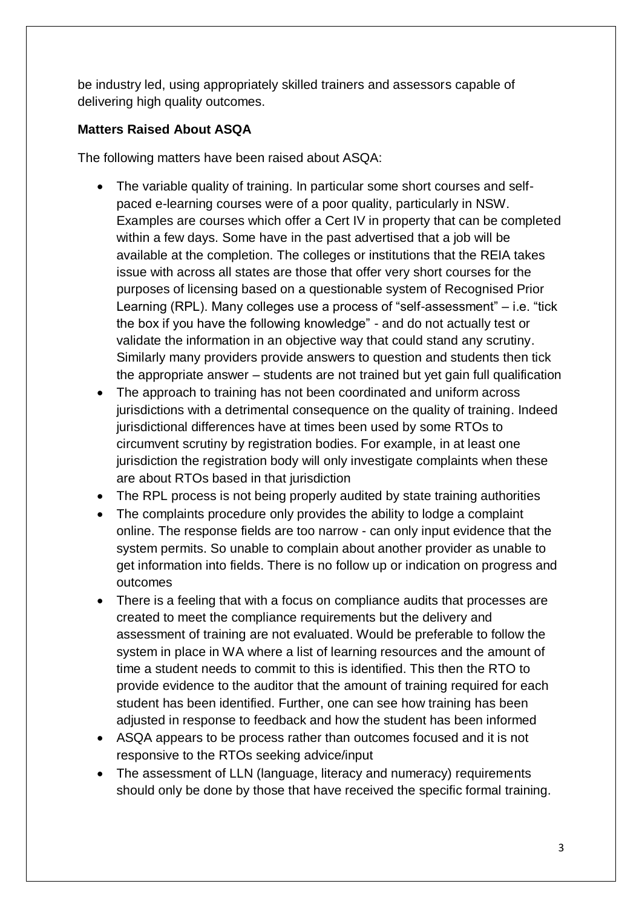be industry led, using appropriately skilled trainers and assessors capable of delivering high quality outcomes.

## **Matters Raised About ASQA**

The following matters have been raised about ASQA:

- The variable quality of training. In particular some short courses and selfpaced e-learning courses were of a poor quality, particularly in NSW. Examples are courses which offer a Cert IV in property that can be completed within a few days. Some have in the past advertised that a job will be available at the completion. The colleges or institutions that the REIA takes issue with across all states are those that offer very short courses for the purposes of licensing based on a questionable system of Recognised Prior Learning (RPL). Many colleges use a process of "self-assessment" – i.e. "tick the box if you have the following knowledge" - and do not actually test or validate the information in an objective way that could stand any scrutiny. Similarly many providers provide answers to question and students then tick the appropriate answer – students are not trained but yet gain full qualification
- The approach to training has not been coordinated and uniform across jurisdictions with a detrimental consequence on the quality of training. Indeed jurisdictional differences have at times been used by some RTOs to circumvent scrutiny by registration bodies. For example, in at least one jurisdiction the registration body will only investigate complaints when these are about RTOs based in that jurisdiction
- The RPL process is not being properly audited by state training authorities
- The complaints procedure only provides the ability to lodge a complaint online. The response fields are too narrow - can only input evidence that the system permits. So unable to complain about another provider as unable to get information into fields. There is no follow up or indication on progress and outcomes
- There is a feeling that with a focus on compliance audits that processes are created to meet the compliance requirements but the delivery and assessment of training are not evaluated. Would be preferable to follow the system in place in WA where a list of learning resources and the amount of time a student needs to commit to this is identified. This then the RTO to provide evidence to the auditor that the amount of training required for each student has been identified. Further, one can see how training has been adjusted in response to feedback and how the student has been informed
- ASQA appears to be process rather than outcomes focused and it is not responsive to the RTOs seeking advice/input
- The assessment of LLN (language, literacy and numeracy) requirements should only be done by those that have received the specific formal training.